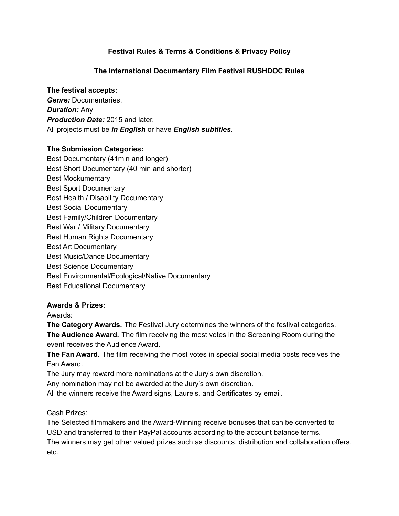# **Festival Rules & Terms & Conditions & Privacy Policy**

## **The International Documentary Film Festival RUSHDOC Rules**

#### **The festival accepts:**

*Genre:* Documentaries. *Duration:* Any *Production Date:* 2015 and later. All projects must be *in English* or have *English subtitles*.

### **The Submission Categories:**

Best Documentary (41min and longer) Best Short Documentary (40 min and shorter) Best Mockumentary Best Sport Documentary Best Health / Disability Documentary Best Social Documentary Best Family/Children Documentary Best War / Military Documentary Best Human Rights Documentary Best Art Documentary Best Music/Dance Documentary Best Science Documentary Best Environmental/Ecological/Native Documentary Best Educational Documentary

#### **Awards & Prizes:**

Awards:

**The Category Awards.** The Festival Jury determines the winners of the festival categories. **The Audience Award.** The film receiving the most votes in the Screening Room during the event receives the Audience Award.

**The Fan Award.** The film receiving the most votes in special social media posts receives the Fan Award.

The Jury may reward more nominations at the Jury's own discretion.

Any nomination may not be awarded at the Jury's own discretion.

All the winners receive the Award signs, Laurels, and Certificates by email.

Cash Prizes:

The Selected filmmakers and the Award-Winning receive bonuses that can be converted to USD and transferred to their PayPal accounts according to the account balance terms. The winners may get other valued prizes such as discounts, distribution and collaboration offers, etc.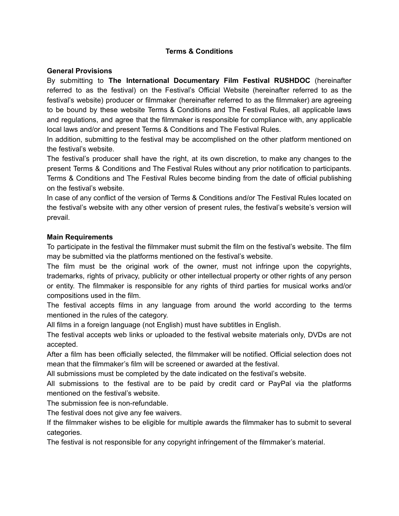### **Terms & Conditions**

#### **General Provisions**

By submitting to **The International Documentary Film Festival RUSHDOC** (hereinafter referred to as the festival) on the Festival's Official Website (hereinafter referred to as the festival's website) producer or filmmaker (hereinafter referred to as the filmmaker) are agreeing to be bound by these website Terms & Conditions and The Festival Rules, all applicable laws and regulations, and agree that the filmmaker is responsible for compliance with, any applicable local laws and/or and present Terms & Conditions and The Festival Rules.

In addition, submitting to the festival may be accomplished on the other platform mentioned on the festival's website.

The festival's producer shall have the right, at its own discretion, to make any changes to the present Terms & Conditions and The Festival Rules without any prior notification to participants. Terms & Conditions and The Festival Rules become binding from the date of official publishing on the festival's website.

In case of any conflict of the version of Terms & Conditions and/or The Festival Rules located on the festival's website with any other version of present rules, the festival's website's version will prevail.

#### **Main Requirements**

To participate in the festival the filmmaker must submit the film on the festival's website. The film may be submitted via the platforms mentioned on the festival's website.

The film must be the original work of the owner, must not infringe upon the copyrights, trademarks, rights of privacy, publicity or other intellectual property or other rights of any person or entity. The filmmaker is responsible for any rights of third parties for musical works and/or compositions used in the film.

The festival accepts films in any language from around the world according to the terms mentioned in the rules of the category.

All films in a foreign language (not English) must have subtitles in English.

The festival accepts web links or uploaded to the festival website materials only, DVDs are not accepted.

After a film has been officially selected, the filmmaker will be notified. Official selection does not mean that the filmmaker's film will be screened or awarded at the festival.

All submissions must be completed by the date indicated on the festival's website.

All submissions to the festival are to be paid by credit card or PayPal via the platforms mentioned on the festival's website.

The submission fee is non-refundable.

The festival does not give any fee waivers.

If the filmmaker wishes to be eligible for multiple awards the filmmaker has to submit to several categories.

The festival is not responsible for any copyright infringement of the filmmaker's material.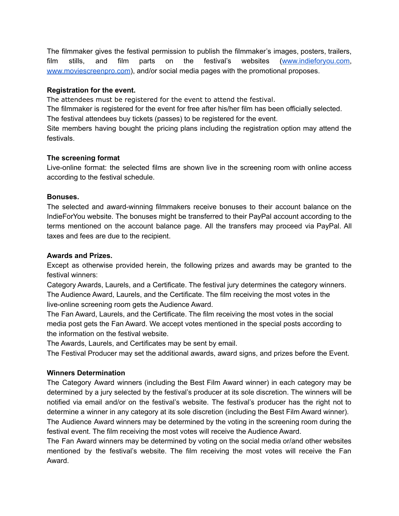The filmmaker gives the festival permission to publish the filmmaker's images, posters, trailers, film stills, and film parts on the festival's websites [\(www.indieforyou.com,](http://www.indieforyou.com) [www.moviescreenpro.com](http://www.moviescreenpro.com)), and/or social media pages with the promotional proposes.

### **Registration for the event.**

The attendees must be registered for the event to attend the festival.

The filmmaker is registered for the event for free after his/her film has been officially selected.

The festival attendees buy tickets (passes) to be registered for the event.

Site members having bought the pricing plans including the registration option may attend the festivals.

### **The screening format**

Live-online format: the selected films are shown live in the screening room with online access according to the festival schedule.

### **Bonuses.**

The selected and award-winning filmmakers receive bonuses to their account balance on the IndieForYou website. The bonuses might be transferred to their PayPal account according to the terms mentioned on the account balance page. All the transfers may proceed via PayPal. All taxes and fees are due to the recipient.

### **Awards and Prizes.**

Except as otherwise provided herein, the following prizes and awards may be granted to the festival winners:

Category Awards, Laurels, and a Certificate. The festival jury determines the category winners. The Audience Award, Laurels, and the Certificate. The film receiving the most votes in the live-online screening room gets the Audience Award.

The Fan Award, Laurels, and the Certificate. The film receiving the most votes in the social media post gets the Fan Award. We accept votes mentioned in the special posts according to the information on the festival website.

The Awards, Laurels, and Certificates may be sent by email.

The Festival Producer may set the additional awards, award signs, and prizes before the Event.

## **Winners Determination**

The Category Award winners (including the Best Film Award winner) in each category may be determined by a jury selected by the festival's producer at its sole discretion. The winners will be notified via email and/or on the festival's website. The festival's producer has the right not to determine a winner in any category at its sole discretion (including the Best Film Award winner).

The Audience Award winners may be determined by the voting in the screening room during the festival event. The film receiving the most votes will receive the Audience Award.

The Fan Award winners may be determined by voting on the social media or/and other websites mentioned by the festival's website. The film receiving the most votes will receive the Fan Award.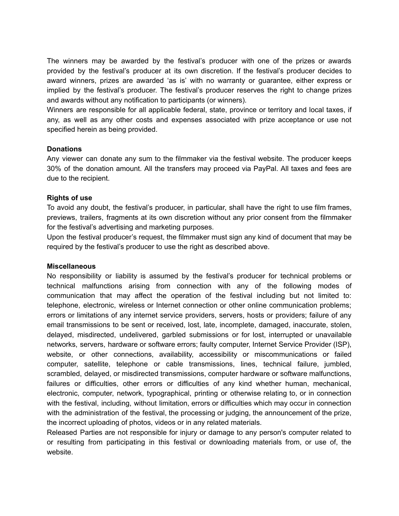The winners may be awarded by the festival's producer with one of the prizes or awards provided by the festival's producer at its own discretion. If the festival's producer decides to award winners, prizes are awarded 'as is' with no warranty or guarantee, either express or implied by the festival's producer. The festival's producer reserves the right to change prizes and awards without any notification to participants (or winners).

Winners are responsible for all applicable federal, state, province or territory and local taxes, if any, as well as any other costs and expenses associated with prize acceptance or use not specified herein as being provided.

### **Donations**

Any viewer can donate any sum to the filmmaker via the festival website. The producer keeps 30% of the donation amount. All the transfers may proceed via PayPal. All taxes and fees are due to the recipient.

### **Rights of use**

To avoid any doubt, the festival's producer, in particular, shall have the right to use film frames, previews, trailers, fragments at its own discretion without any prior consent from the filmmaker for the festival's advertising and marketing purposes.

Upon the festival producer's request, the filmmaker must sign any kind of document that may be required by the festival's producer to use the right as described above.

#### **Miscellaneous**

No responsibility or liability is assumed by the festival's producer for technical problems or technical malfunctions arising from connection with any of the following modes of communication that may affect the operation of the festival including but not limited to: telephone, electronic, wireless or Internet connection or other online communication problems; errors or limitations of any internet service providers, servers, hosts or providers; failure of any email transmissions to be sent or received, lost, late, incomplete, damaged, inaccurate, stolen, delayed, misdirected, undelivered, garbled submissions or for lost, interrupted or unavailable networks, servers, hardware or software errors; faulty computer, Internet Service Provider (ISP), website, or other connections, availability, accessibility or miscommunications or failed computer, satellite, telephone or cable transmissions, lines, technical failure, jumbled, scrambled, delayed, or misdirected transmissions, computer hardware or software malfunctions, failures or difficulties, other errors or difficulties of any kind whether human, mechanical, electronic, computer, network, typographical, printing or otherwise relating to, or in connection with the festival, including, without limitation, errors or difficulties which may occur in connection with the administration of the festival, the processing or judging, the announcement of the prize, the incorrect uploading of photos, videos or in any related materials.

Released Parties are not responsible for injury or damage to any person's computer related to or resulting from participating in this festival or downloading materials from, or use of, the website.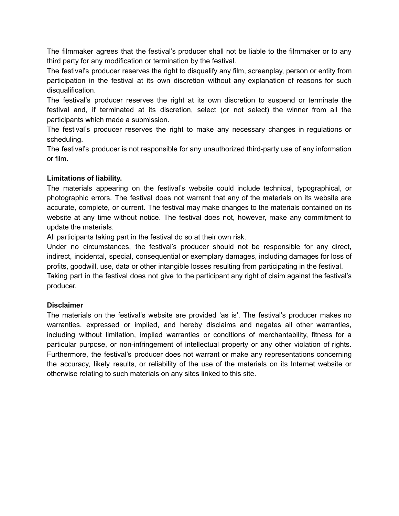The filmmaker agrees that the festival's producer shall not be liable to the filmmaker or to any third party for any modification or termination by the festival.

The festival's producer reserves the right to disqualify any film, screenplay, person or entity from participation in the festival at its own discretion without any explanation of reasons for such disqualification.

The festival's producer reserves the right at its own discretion to suspend or terminate the festival and, if terminated at its discretion, select (or not select) the winner from all the participants which made a submission.

The festival's producer reserves the right to make any necessary changes in regulations or scheduling.

The festival's producer is not responsible for any unauthorized third-party use of any information or film.

## **Limitations of liability.**

The materials appearing on the festival's website could include technical, typographical, or photographic errors. The festival does not warrant that any of the materials on its website are accurate, complete, or current. The festival may make changes to the materials contained on its website at any time without notice. The festival does not, however, make any commitment to update the materials.

All participants taking part in the festival do so at their own risk.

Under no circumstances, the festival's producer should not be responsible for any direct, indirect, incidental, special, consequential or exemplary damages, including damages for loss of profits, goodwill, use, data or other intangible losses resulting from participating in the festival. Taking part in the festival does not give to the participant any right of claim against the festival's producer.

## **Disclaimer**

The materials on the festival's website are provided 'as is'. The festival's producer makes no warranties, expressed or implied, and hereby disclaims and negates all other warranties, including without limitation, implied warranties or conditions of merchantability, fitness for a particular purpose, or non-infringement of intellectual property or any other violation of rights. Furthermore, the festival's producer does not warrant or make any representations concerning the accuracy, likely results, or reliability of the use of the materials on its Internet website or otherwise relating to such materials on any sites linked to this site.